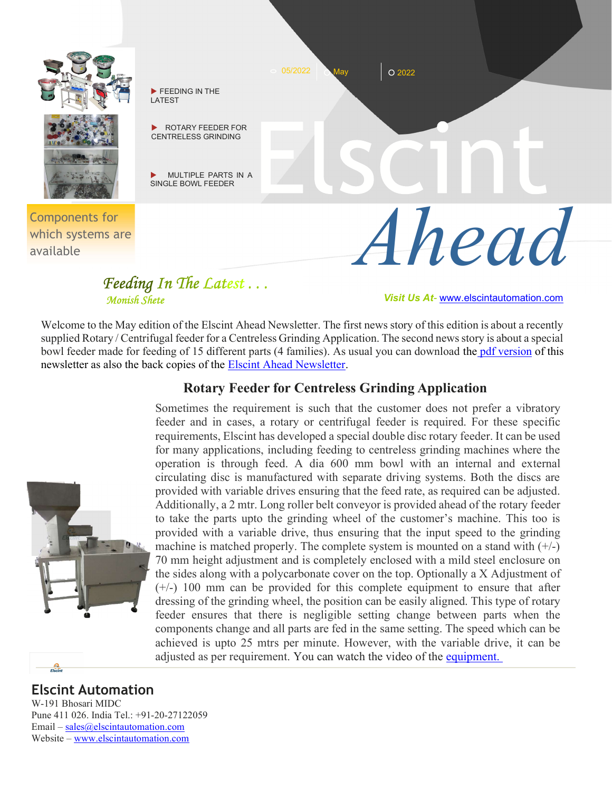

## Feeding In The Latest . . .

Monish Shete Visit Us At- www.elscintautomation.com

Welcome to the May edition of the Elscint Ahead Newsletter. The first news story of this edition is about a recently supplied Rotary / Centrifugal feeder for a Centreless Grinding Application. The second news story is about a special bowl feeder made for feeding of 15 different parts (4 families). As usual you can download the pdf version of this newsletter as also the back copies of the Elscint Ahead Newsletter.

## Rotary Feeder for Centreless Grinding Application

Sometimes the requirement is such that the customer does not prefer a vibratory feeder and in cases, a rotary or centrifugal feeder is required. For these specific requirements, Elscint has developed a special double disc rotary feeder. It can be used for many applications, including feeding to centreless grinding machines where the operation is through feed. A dia 600 mm bowl with an internal and external circulating disc is manufactured with separate driving systems. Both the discs are provided with variable drives ensuring that the feed rate, as required can be adjusted. Additionally, a 2 mtr. Long roller belt conveyor is provided ahead of the rotary feeder to take the parts upto the grinding wheel of the customer's machine. This too is provided with a variable drive, thus ensuring that the input speed to the grinding machine is matched properly. The complete system is mounted on a stand with  $(+/-)$ 70 mm height adjustment and is completely enclosed with a mild steel enclosure on the sides along with a polycarbonate cover on the top. Optionally a X Adjustment of (+/-) 100 mm can be provided for this complete equipment to ensure that after dressing of the grinding wheel, the position can be easily aligned. This type of rotary feeder ensures that there is negligible setting change between parts when the components change and all parts are fed in the same setting. The speed which can be achieved is upto 25 mtrs per minute. However, with the variable drive, it can be adjusted as per requirement. You can watch the video of the equipment.

## Elscint Automation

 $\frac{\Omega}{\text{Elec}}$ 

W-191 Bhosari MIDC Pune 411 026. India Tel.: +91-20-27122059 Email – sales@elscintautomation.com Website – www.elscintautomation.com